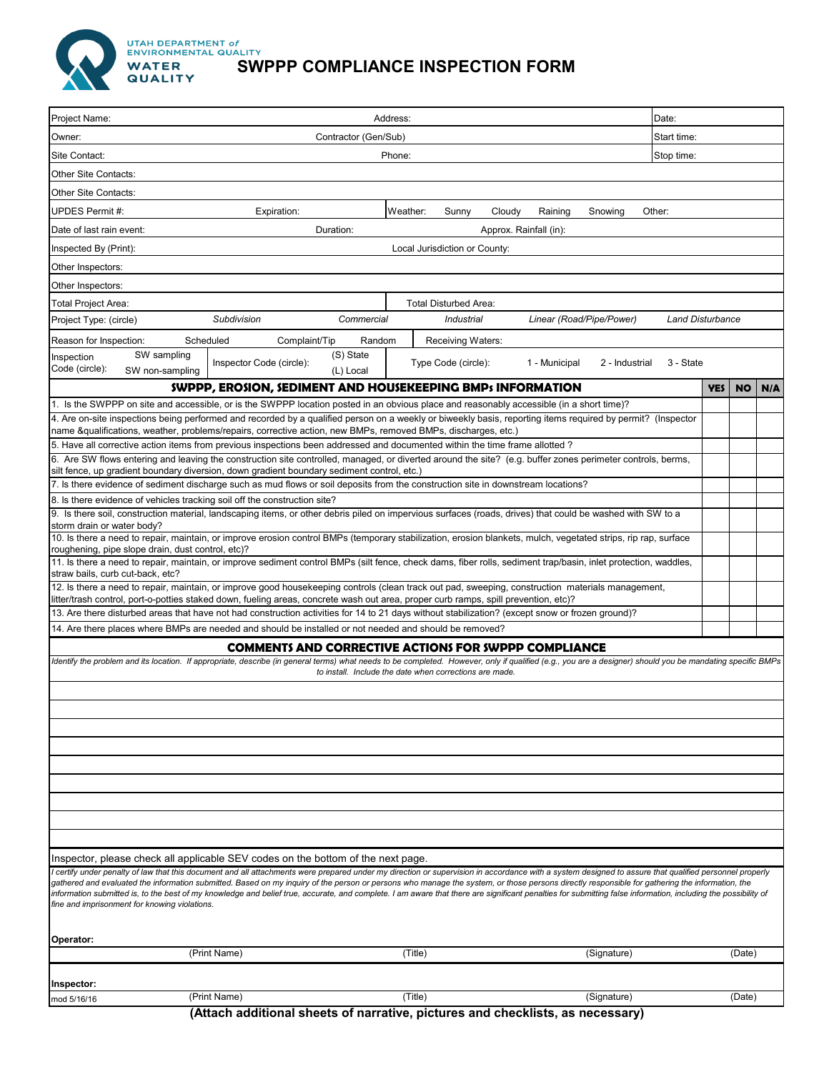

**UTAH DEPARTMENT of<br>ENVIRONMENTAL QUALITY** 

## WATER **SWPPP COMPLIANCE INSPECTION FORM**

| Project Name:                                                                                                                                                                                                                                                                            | Address:                                                                                                                                                                                                                                                                                                                                                                                                                                                                                                                                                                                                                |                                                             |                                 |                         | Date:       |           |     |  |
|------------------------------------------------------------------------------------------------------------------------------------------------------------------------------------------------------------------------------------------------------------------------------------------|-------------------------------------------------------------------------------------------------------------------------------------------------------------------------------------------------------------------------------------------------------------------------------------------------------------------------------------------------------------------------------------------------------------------------------------------------------------------------------------------------------------------------------------------------------------------------------------------------------------------------|-------------------------------------------------------------|---------------------------------|-------------------------|-------------|-----------|-----|--|
| Owner:                                                                                                                                                                                                                                                                                   | Contractor (Gen/Sub)                                                                                                                                                                                                                                                                                                                                                                                                                                                                                                                                                                                                    |                                                             |                                 |                         | Start time: |           |     |  |
| Site Contact:                                                                                                                                                                                                                                                                            | Phone:<br>Stop time:                                                                                                                                                                                                                                                                                                                                                                                                                                                                                                                                                                                                    |                                                             |                                 |                         |             |           |     |  |
| Other Site Contacts:                                                                                                                                                                                                                                                                     |                                                                                                                                                                                                                                                                                                                                                                                                                                                                                                                                                                                                                         |                                                             |                                 |                         |             |           |     |  |
| Other Site Contacts:                                                                                                                                                                                                                                                                     |                                                                                                                                                                                                                                                                                                                                                                                                                                                                                                                                                                                                                         |                                                             |                                 |                         |             |           |     |  |
| UPDES Permit #:                                                                                                                                                                                                                                                                          | Expiration:                                                                                                                                                                                                                                                                                                                                                                                                                                                                                                                                                                                                             | Weather:<br>Sunny<br>Cloudy                                 | Raining<br>Snowing              | Other:                  |             |           |     |  |
| Date of last rain event:                                                                                                                                                                                                                                                                 | Duration:                                                                                                                                                                                                                                                                                                                                                                                                                                                                                                                                                                                                               |                                                             | Approx. Rainfall (in):          |                         |             |           |     |  |
| Inspected By (Print):                                                                                                                                                                                                                                                                    |                                                                                                                                                                                                                                                                                                                                                                                                                                                                                                                                                                                                                         | Local Jurisdiction or County:                               |                                 |                         |             |           |     |  |
| Other Inspectors:                                                                                                                                                                                                                                                                        |                                                                                                                                                                                                                                                                                                                                                                                                                                                                                                                                                                                                                         |                                                             |                                 |                         |             |           |     |  |
| Other Inspectors:                                                                                                                                                                                                                                                                        |                                                                                                                                                                                                                                                                                                                                                                                                                                                                                                                                                                                                                         |                                                             |                                 |                         |             |           |     |  |
| Total Project Area:                                                                                                                                                                                                                                                                      |                                                                                                                                                                                                                                                                                                                                                                                                                                                                                                                                                                                                                         | <b>Total Disturbed Area:</b>                                |                                 |                         |             |           |     |  |
| Project Type: (circle)                                                                                                                                                                                                                                                                   | Subdivision<br>Commercial                                                                                                                                                                                                                                                                                                                                                                                                                                                                                                                                                                                               | <b>Industrial</b>                                           | Linear (Road/Pipe/Power)        | <b>Land Disturbance</b> |             |           |     |  |
| Scheduled<br>Reason for Inspection:                                                                                                                                                                                                                                                      | Complaint/Tip                                                                                                                                                                                                                                                                                                                                                                                                                                                                                                                                                                                                           | Random<br>Receiving Waters:                                 |                                 |                         |             |           |     |  |
| SW sampling<br>Inspection                                                                                                                                                                                                                                                                | (S) State                                                                                                                                                                                                                                                                                                                                                                                                                                                                                                                                                                                                               |                                                             |                                 |                         |             |           |     |  |
| Code (circle):<br>SW non-sampling                                                                                                                                                                                                                                                        | Inspector Code (circle):<br>(L) Local                                                                                                                                                                                                                                                                                                                                                                                                                                                                                                                                                                                   | Type Code (circle):                                         | 1 - Municipal<br>2 - Industrial | 3 - State               |             |           |     |  |
|                                                                                                                                                                                                                                                                                          | <b>SWPPP, EROSION, SEDIMENT AND HOUSEKEEPING BMPs INFORMATION</b>                                                                                                                                                                                                                                                                                                                                                                                                                                                                                                                                                       |                                                             |                                 |                         | <b>YES</b>  | <b>NO</b> | N/A |  |
|                                                                                                                                                                                                                                                                                          | 1. Is the SWPPP on site and accessible, or is the SWPPP location posted in an obvious place and reasonably accessible (in a short time)?                                                                                                                                                                                                                                                                                                                                                                                                                                                                                |                                                             |                                 |                         |             |           |     |  |
|                                                                                                                                                                                                                                                                                          | 4. Are on-site inspections being performed and recorded by a qualified person on a weekly or biweekly basis, reporting items required by permit? (Inspector                                                                                                                                                                                                                                                                                                                                                                                                                                                             |                                                             |                                 |                         |             |           |     |  |
|                                                                                                                                                                                                                                                                                          | name &qualifications, weather, problems/repairs, corrective action, new BMPs, removed BMPs, discharges, etc.)<br>5. Have all corrective action items from previous inspections been addressed and documented within the time frame allotted?                                                                                                                                                                                                                                                                                                                                                                            |                                                             |                                 |                         |             |           |     |  |
|                                                                                                                                                                                                                                                                                          | 6. Are SW flows entering and leaving the construction site controlled, managed, or diverted around the site? (e.g. buffer zones perimeter controls, berms,                                                                                                                                                                                                                                                                                                                                                                                                                                                              |                                                             |                                 |                         |             |           |     |  |
|                                                                                                                                                                                                                                                                                          | silt fence, up gradient boundary diversion, down gradient boundary sediment control, etc.)                                                                                                                                                                                                                                                                                                                                                                                                                                                                                                                              |                                                             |                                 |                         |             |           |     |  |
|                                                                                                                                                                                                                                                                                          | 7. Is there evidence of sediment discharge such as mud flows or soil deposits from the construction site in downstream locations?                                                                                                                                                                                                                                                                                                                                                                                                                                                                                       |                                                             |                                 |                         |             |           |     |  |
| 8. Is there evidence of vehicles tracking soil off the construction site?                                                                                                                                                                                                                | 9. Is there soil, construction material, landscaping items, or other debris piled on impervious surfaces (roads, drives) that could be washed with SW to a                                                                                                                                                                                                                                                                                                                                                                                                                                                              |                                                             |                                 |                         |             |           |     |  |
| storm drain or water body?                                                                                                                                                                                                                                                               |                                                                                                                                                                                                                                                                                                                                                                                                                                                                                                                                                                                                                         |                                                             |                                 |                         |             |           |     |  |
| roughening, pipe slope drain, dust control, etc)?                                                                                                                                                                                                                                        | 10. Is there a need to repair, maintain, or improve erosion control BMPs (temporary stabilization, erosion blankets, mulch, vegetated strips, rip rap, surface                                                                                                                                                                                                                                                                                                                                                                                                                                                          |                                                             |                                 |                         |             |           |     |  |
|                                                                                                                                                                                                                                                                                          | 11. Is there a need to repair, maintain, or improve sediment control BMPs (silt fence, check dams, fiber rolls, sediment trap/basin, inlet protection, waddles,                                                                                                                                                                                                                                                                                                                                                                                                                                                         |                                                             |                                 |                         |             |           |     |  |
| straw bails, curb cut-back, etc?                                                                                                                                                                                                                                                         |                                                                                                                                                                                                                                                                                                                                                                                                                                                                                                                                                                                                                         |                                                             |                                 |                         |             |           |     |  |
| 12. Is there a need to repair, maintain, or improve good housekeeping controls (clean track out pad, sweeping, construction materials management,<br>litter/trash control, port-o-potties staked down, fueling areas, concrete wash out area, proper curb ramps, spill prevention, etc)? |                                                                                                                                                                                                                                                                                                                                                                                                                                                                                                                                                                                                                         |                                                             |                                 |                         |             |           |     |  |
| 13. Are there disturbed areas that have not had construction activities for 14 to 21 days without stabilization? (except snow or frozen ground)?                                                                                                                                         |                                                                                                                                                                                                                                                                                                                                                                                                                                                                                                                                                                                                                         |                                                             |                                 |                         |             |           |     |  |
|                                                                                                                                                                                                                                                                                          | 14. Are there places where BMPs are needed and should be installed or not needed and should be removed?                                                                                                                                                                                                                                                                                                                                                                                                                                                                                                                 |                                                             |                                 |                         |             |           |     |  |
|                                                                                                                                                                                                                                                                                          |                                                                                                                                                                                                                                                                                                                                                                                                                                                                                                                                                                                                                         | <b>COMMENTS AND CORRECTIVE ACTIONS FOR SWPPP COMPLIANCE</b> |                                 |                         |             |           |     |  |
|                                                                                                                                                                                                                                                                                          | Identify the problem and its location. If appropriate, describe (in general terms) what needs to be completed. However, only if qualified (e.g., you are a designer) should you be mandating specific BMPs                                                                                                                                                                                                                                                                                                                                                                                                              | to install. Include the date when corrections are made.     |                                 |                         |             |           |     |  |
|                                                                                                                                                                                                                                                                                          |                                                                                                                                                                                                                                                                                                                                                                                                                                                                                                                                                                                                                         |                                                             |                                 |                         |             |           |     |  |
|                                                                                                                                                                                                                                                                                          |                                                                                                                                                                                                                                                                                                                                                                                                                                                                                                                                                                                                                         |                                                             |                                 |                         |             |           |     |  |
|                                                                                                                                                                                                                                                                                          |                                                                                                                                                                                                                                                                                                                                                                                                                                                                                                                                                                                                                         |                                                             |                                 |                         |             |           |     |  |
|                                                                                                                                                                                                                                                                                          |                                                                                                                                                                                                                                                                                                                                                                                                                                                                                                                                                                                                                         |                                                             |                                 |                         |             |           |     |  |
|                                                                                                                                                                                                                                                                                          |                                                                                                                                                                                                                                                                                                                                                                                                                                                                                                                                                                                                                         |                                                             |                                 |                         |             |           |     |  |
|                                                                                                                                                                                                                                                                                          |                                                                                                                                                                                                                                                                                                                                                                                                                                                                                                                                                                                                                         |                                                             |                                 |                         |             |           |     |  |
|                                                                                                                                                                                                                                                                                          |                                                                                                                                                                                                                                                                                                                                                                                                                                                                                                                                                                                                                         |                                                             |                                 |                         |             |           |     |  |
|                                                                                                                                                                                                                                                                                          |                                                                                                                                                                                                                                                                                                                                                                                                                                                                                                                                                                                                                         |                                                             |                                 |                         |             |           |     |  |
|                                                                                                                                                                                                                                                                                          |                                                                                                                                                                                                                                                                                                                                                                                                                                                                                                                                                                                                                         |                                                             |                                 |                         |             |           |     |  |
|                                                                                                                                                                                                                                                                                          |                                                                                                                                                                                                                                                                                                                                                                                                                                                                                                                                                                                                                         |                                                             |                                 |                         |             |           |     |  |
|                                                                                                                                                                                                                                                                                          | Inspector, please check all applicable SEV codes on the bottom of the next page.                                                                                                                                                                                                                                                                                                                                                                                                                                                                                                                                        |                                                             |                                 |                         |             |           |     |  |
| fine and imprisonment for knowing violations.                                                                                                                                                                                                                                            | certify under penalty of law that this document and all attachments were prepared under my direction or supervision in accordance with a system designed to assure that qualified personnel properly<br>gathered and evaluated the information submitted. Based on my inquiry of the person or persons who manage the system, or those persons directly responsible for gathering the information, the<br>information submitted is, to the best of my knowledge and belief true, accurate, and complete. I am aware that there are significant penalties for submitting false information, including the possibility of |                                                             |                                 |                         |             |           |     |  |
| Operator:                                                                                                                                                                                                                                                                                | (Print Name)                                                                                                                                                                                                                                                                                                                                                                                                                                                                                                                                                                                                            | (Title)                                                     | (Signature)                     |                         |             | (Date)    |     |  |
|                                                                                                                                                                                                                                                                                          |                                                                                                                                                                                                                                                                                                                                                                                                                                                                                                                                                                                                                         |                                                             |                                 |                         |             |           |     |  |
| Inspector:                                                                                                                                                                                                                                                                               |                                                                                                                                                                                                                                                                                                                                                                                                                                                                                                                                                                                                                         |                                                             |                                 |                         |             |           |     |  |
| mod 5/16/16                                                                                                                                                                                                                                                                              | (Print Name)                                                                                                                                                                                                                                                                                                                                                                                                                                                                                                                                                                                                            | (Title)                                                     | (Signature)                     |                         |             | (Date)    |     |  |

**(Attach additional sheets of narrative, pictures and checklists, as necessary)**